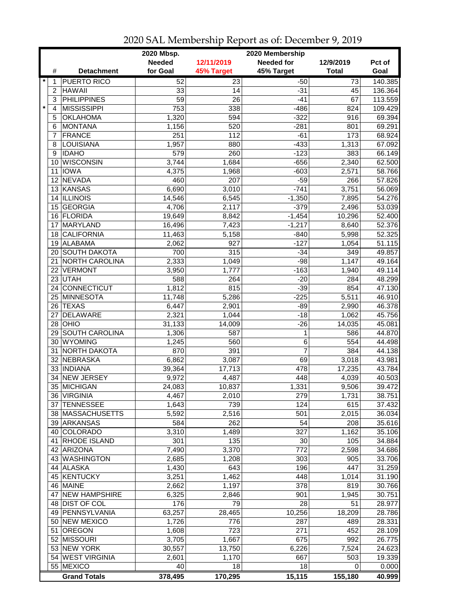|                |                              | 2020 Mbsp.      |                 | 2020 Membership   |                  |         |
|----------------|------------------------------|-----------------|-----------------|-------------------|------------------|---------|
|                |                              | <b>Needed</b>   | 12/11/2019      | <b>Needed for</b> | 12/9/2019        | Pct of  |
| #              | <b>Detachment</b>            | for Goal        | 45% Target      | 45% Target        | <b>Total</b>     | Goal    |
| $\star$<br>1   | <b>PUERTO RICO</b>           | 52              | 23              | $-50$             | $\overline{73}$  | 140.385 |
| $\overline{c}$ | <b>HAWAII</b>                | 33              | 14              | $-31$             | 45               | 136.364 |
| 3              | <b>PHILIPPINES</b>           | $\overline{59}$ | $\overline{26}$ | $-41$             | 67               | 113.559 |
| $\star$<br>4   | <b>MISSISSIPPI</b>           | 753             | 338             | $-486$            | $\overline{824}$ | 109.429 |
| 5              | <b>OKLAHOMA</b>              | 1,320           | 594             | $-322$            | 916              | 69.394  |
| 6              | <b>MONTANA</b>               | 1,156           | 520             | $-281$            | 801              | 69.291  |
| 7              | <b>FRANCE</b>                | 251             | 112             | $-61$             | 173              | 68.924  |
| 8              | LOUISIANA                    | 1,957           | 880             | $-433$            | 1,313            | 67.092  |
| 9              | <b>IDAHO</b>                 | 579             | 260             | $-123$            | 383              | 66.149  |
| 10             | <b>WISCONSIN</b>             | 3,744           | 1,684           | $-656$            | 2,340            | 62.500  |
| 11             | <b>IOWA</b>                  | 4,375           | 1,968           | $-603$            | 2,571            | 58.766  |
| 12             | <b>NEVADA</b>                | 460             | 207             | $-59$             | 266              | 57.826  |
| 13             | KANSAS                       | 6,690           | 3,010           | $-741$            | 3,751            | 56.069  |
| 14             | <b>ILLINOIS</b>              | 14,546          | 6,545           | $-1,350$          | 7,895            | 54.276  |
| 15             |                              |                 |                 |                   |                  | 53.039  |
|                | <b>GEORGIA</b><br>16 FLORIDA | 4,706           | 2,117           | $-379$            | 2,496            | 52.400  |
|                | MARYLAND                     | 19,649          | 8,842           | $-1,454$          | 10,296           | 52.376  |
| 17             | <b>CALIFORNIA</b>            | 16,496          | 7,423           | $-1,217$          | 8,640            | 52.325  |
| 18             |                              | 11,463          | 5,158           | $-840$            | 5,998            |         |
| 19             | ALABAMA                      | 2,062           | 927             | $-127$            | 1,054            | 51.115  |
|                | 20 SOUTH DAKOTA              | 700             | 315             | $-34$             | 349              | 49.857  |
| 21             | NORTH CAROLINA               | 2,333           | 1,049           | $-98$             | 1,147            | 49.164  |
| 22             | <b>VERMONT</b>               | 3,950           | 1,777           | $-163$            | 1,940            | 49.114  |
|                | 23 UTAH                      | 588             | 264             | $-20$             | 284              | 48.299  |
|                | 24 CONNECTICUT               | 1,812           | 815             | $-39$             | 854              | 47.130  |
|                | 25 MINNESOTA                 | 11,748          | 5,286           | $-225$            | 5,511            | 46.910  |
|                | 26 TEXAS                     | 6,447           | 2,901           | $-89$             | 2,990            | 46.378  |
| 27             | <b>DELAWARE</b>              | 2,321           | 1,044           | $-18$             | 1,062            | 45.756  |
|                | $28$ OHIO                    | 31,133          | 14,009          | $-26$             | 14,035           | 45.081  |
|                | 29 SOUTH CAROLINA            | 1,306           | 587             | 1                 | 586              | 44.870  |
|                | 30 WYOMING                   | 1,245           | 560             | 6                 | 554              | 44.498  |
| 31             | <b>NORTH DAKOTA</b>          | 870             | 391             | 7                 | 384              | 44.138  |
|                | 32 NEBRASKA                  | 6,862           | 3,087           | 69                | 3,018            | 43.981  |
|                | 33   INDIANA                 | 39,364          | 17,713          | 478               | 17,235           | 43.784  |
| 34             | <b>NEW JERSEY</b>            | 9,972           | 4,487           | 448               | 4,039            | 40.503  |
|                | 35 MICHIGAN                  | 24,083          | 10,837          | 1,331             | 9,506            | 39.472  |
|                | 36 VIRGINIA                  | 4,467           | 2,010           | 279               | 1,731            | 38.751  |
|                | 37 TENNESSEE                 | 1,643           | 739             | 124               | 615              | 37.432  |
|                | 38 MASSACHUSETTS             | 5,592           | 2,516           | 501               | 2,015            | 36.034  |
|                | 39 ARKANSAS                  | 584             | 262             | 54                | 208              | 35.616  |
|                | 40 COLORADO                  | 3,310           | 1,489           | 327               | 1,162            | 35.106  |
|                | 41 RHODE ISLAND              | 301             | 135             | 30                | 105              | 34.884  |
|                | 42 ARIZONA                   | 7,490           | 3,370           | 772               | 2,598            | 34.686  |
|                | 43 WASHINGTON                | 2,685           | 1,208           | 303               | 905              | 33.706  |
|                | 44 ALASKA                    | 1,430           | 643             | 196               | 447              | 31.259  |
|                | 45 KENTUCKY                  | 3,251           | 1,462           | 448               | 1,014            | 31.190  |
|                | 46 MAINE                     | 2,662           | 1,197           | 378               | 819              | 30.766  |
| 47             | <b>NEW HAMPSHIRE</b>         | 6,325           | 2,846           | 901               | 1,945            | 30.751  |
|                | 48 DIST OF COL               | 176             | 79              | 28                | 51               | 28.977  |
|                | 49   PENNSYLVANIA            | 63,257          | 28,465          | 10,256            | 18,209           | 28.786  |
|                | 50 NEW MEXICO                | 1,726           | 776             | 287               | 489              | 28.331  |
| 51             | <b>OREGON</b>                | 1,608           | 723             | 271               | 452              | 28.109  |
|                | 52 MISSOURI                  | 3,705           | 1,667           | 675               | 992              | 26.775  |
|                | 53 NEW YORK                  | 30,557          | 13,750          | 6,226             | 7,524            | 24.623  |
|                | 54 WEST VIRGINIA             | 2,601           | 1,170           | 667               | 503              | 19.339  |
|                | 55 MEXICO                    | 40              | 18              | 18                | 0                | 0.000   |
|                | <b>Grand Totals</b>          | 378,495         | 170,295         | 15,115            | 155,180          | 40.999  |

2020 SAL Membership Report as of: December 9, 2019